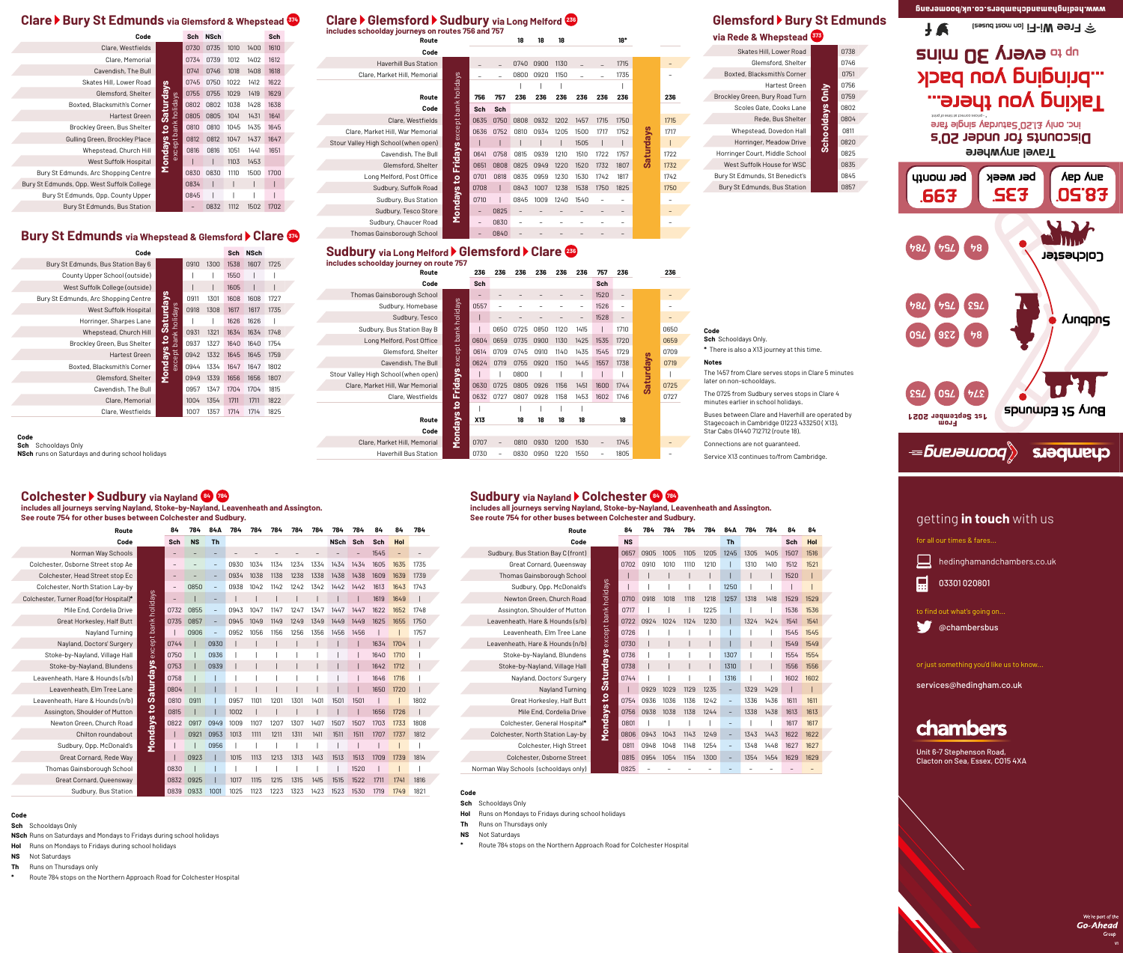# **Glemsford ▶ Bury St Edmunds via Rede & Whepstead**

# Clare ▶ Glemsford ▶ Sudbury via Long Melford <sup>239</sup>

|  | Clare ▶ Bury St Edmunds via Glemsford & Whepstead 674 |  |
|--|-------------------------------------------------------|--|
|  |                                                       |  |

| Code                                       |                  | <b>Sch</b> | <b>NSch</b> |      |      | Sch  |  |
|--------------------------------------------|------------------|------------|-------------|------|------|------|--|
| Clare, Westfields                          |                  | 0730       | 0735        | 1010 | 1400 | 1610 |  |
| Clare, Memorial                            |                  | 0734       | 0739        | 1012 | 1402 | 1612 |  |
| Cavendish, The Bull                        |                  | 0741       | 0746        | 1018 | 1408 | 1618 |  |
| Skates Hill, Lower Road                    |                  | 0745       | 0750        | 1022 | 1412 | 1622 |  |
| Glemsford, Shelter                         | <b>Saturdays</b> | 0755       | 0755        | 1029 | 1419 | 1629 |  |
| Boxted, Blacksmith's Corner                | pt bank holidays | 0802       | 0802        | 1038 | 1428 | 1638 |  |
| <b>Hartest Green</b>                       |                  | 0805       | 0805        | 1041 | 1431 | 1641 |  |
| Brockley Green, Bus Shelter                | $\overline{5}$   | 0810       | 0810        | 1045 | 1435 | 1645 |  |
| Gulling Green, Brockley Place              |                  | 0812       | 0812        | 1047 | 1437 | 1647 |  |
| Whepstead, Church Hill                     | exce             | 0816       | 0816        | 1051 | 1441 | 1651 |  |
| West Suffolk Hospital                      | <b>Mondays</b>   |            |             | 1103 | 1453 |      |  |
| Bury St Edmunds, Arc Shopping Centre       |                  | 0830       | 0830        | 1110 | 1500 | 1700 |  |
| Bury St Edmunds, Opp. West Suffolk College |                  | 0834       | I           |      |      |      |  |
| Bury St Edmunds, Opp. County Upper         |                  | 0845       |             |      |      |      |  |
| Bury St Edmunds, Bus Station               |                  |            | 0832        | 1112 | 1502 | 1702 |  |

## **Bury St Edmunds via Whepstead & Glemsford Clare 374**

# **Colchester Sudbury via Nayland <sup>84</sup> <sup>784</sup>**

**includes all journeys serving Nayland, Stoke-by-Nayland, Leavenheath and Assington. See route 754 for other buses between Colchester and Sudbury.**

| <u>Utilor Maggo Mottroon Ouiditoutur</u> |                      |                          |           |                          |      |      |      |      |      |             |      |      |      |      |
|------------------------------------------|----------------------|--------------------------|-----------|--------------------------|------|------|------|------|------|-------------|------|------|------|------|
| Route                                    |                      | 84                       | 784       | 84A                      | 784  | 784  | 784  | 784  | 784  | 784         | 784  | 84   | 84   | 784  |
| Code                                     |                      | Sch                      | <b>NS</b> | <b>Th</b>                |      |      |      |      |      | <b>NSch</b> | Sch  | Sch  | Hol  |      |
| Norman Way Schools                       |                      |                          |           |                          |      |      |      |      |      |             |      | 1545 |      |      |
| Colchester, Osborne Street stop Ae       |                      |                          |           |                          | 0930 | 1034 | 1134 | 1234 | 1334 | 1434        | 1434 | 1605 | 1635 | 1735 |
| Colchester, Head Street stop Ec          |                      |                          |           | $\overline{\phantom{m}}$ | 0934 | 1038 | 1138 | 1238 | 1338 | 1438        | 1438 | 1609 | 1639 | 1739 |
| Colchester, North Station Lay-by         |                      | $\overline{\phantom{0}}$ | 0850      |                          | 0938 | 1042 | 1142 | 1242 | 1342 | 1442        | 1442 | 1613 | 1643 | 1743 |
| Colchester, Turner Road (for Hospital)*  |                      |                          |           |                          |      |      |      |      |      |             |      | 1619 | 1649 |      |
| Mile End, Cordelia Drive                 |                      | 0732                     | 0855      |                          | 0943 | 1047 | 1147 | 1247 | 1347 | 1447        | 1447 | 1622 | 1652 | 1748 |
| Great Horkesley, Half Butt               | except bank holidays | 0735                     | 0857      | $\overline{\phantom{m}}$ | 0945 | 1049 | 1149 | 1249 | 1349 | 1449        | 1449 | 1625 | 1655 | 1750 |
| Nayland Turning                          |                      |                          | 0906      |                          | 0952 | 1056 | 1156 | 1256 | 1356 | 1456        | 1456 |      |      | 1757 |
| Nayland, Doctors' Surgery                |                      | 0744                     |           | 0930                     |      |      |      |      |      |             |      | 1634 | 1704 |      |
| Stoke-by-Nayland, Village Hall           |                      | 0750                     |           | 0936                     |      |      |      |      |      |             |      | 1640 | 1710 |      |
| Stoke-by-Nayland, Blundens               |                      | 0753                     |           | 0939                     |      |      |      |      |      |             |      | 1642 | 1712 |      |
| Leavenheath, Hare & Hounds (s/b)         |                      | 0758                     |           |                          |      |      |      |      |      |             |      | 1646 | 1716 |      |
| Leavenheath, Elm Tree Lane               | <b>Saturdays</b>     | 0804                     |           |                          |      |      |      |      |      |             |      | 1650 | 1720 |      |
| Leavenheath, Hare & Hounds (n/b)         |                      | 0810                     | 0911      |                          | 0957 | 1101 | 1201 | 1301 | 1401 | 1501        | 1501 |      |      | 1802 |
| Assington, Shoulder of Mutton            | $\mathbf{e}$         | 0815                     |           |                          | 1002 |      |      |      |      |             |      | 1656 | 1726 |      |
| Newton Green, Church Road                | Mondays              | 0822                     | 0917      | 0949                     | 1009 | 1107 | 1207 | 1307 | 1407 | 1507        | 1507 | 1703 | 1733 | 1808 |
| Chilton roundabout                       |                      |                          | 0921      | 0953                     | 1013 | 1111 | 1211 | 1311 | 1411 | 1511        | 1511 | 1707 | 1737 | 1812 |
| Sudbury, Opp. McDonald's                 |                      |                          |           | 0956                     |      |      |      |      |      |             |      |      |      |      |
| Great Cornard, Rede Way                  |                      |                          | 0923      |                          | 1015 | 1113 | 1213 | 1313 | 1413 | 1513        | 1513 | 1709 | 1739 | 1814 |
| Thomas Gainsborough School               |                      | 0830                     |           |                          |      |      |      |      |      |             | 1520 |      |      |      |
| Great Cornard, Queensway                 |                      | 0832                     | 0925      |                          | 1017 | 1115 | 1215 | 1315 | 1415 | 1515        | 1522 | 1711 | 1741 | 1816 |
| Sudbury, Bus Station                     |                      | 0839                     | 0933      | 1001                     | 1025 | 1123 | 1223 | 1323 | 1423 | 1523        | 1530 | 1719 | 1749 | 1821 |

**includes all journeys serving Nayland, Stoke-by-Nayland, Leavenheath and Assington. See route 754 for other buses between Colchester and Sudbury.**

| Route                                |                      | 84        | 784  | 784  | 784  | 784  | 84A                      | 784  | 784  | 84   | 84   |  |
|--------------------------------------|----------------------|-----------|------|------|------|------|--------------------------|------|------|------|------|--|
| Code                                 |                      | <b>NS</b> |      |      |      |      | <b>Th</b>                |      |      | Sch  | Hol  |  |
| Sudbury, Bus Station Bay C (front)   |                      | 0657      | 0905 | 1005 | 1105 | 1205 | 1245                     | 1305 | 1405 | 1507 | 1516 |  |
| Great Cornard, Queensway             |                      | 0702      | 0910 | 1010 | 1110 | 1210 |                          | 1310 | 1410 | 1512 | 1521 |  |
| Thomas Gainsborough School           |                      |           |      |      |      |      |                          |      |      | 1520 |      |  |
| Sudbury, Opp. McDonald's             | except bank holidays |           |      |      |      |      | 1250                     |      |      |      |      |  |
| Newton Green, Church Road            |                      | 0710      | 0918 | 1018 | 1118 | 1218 | 1257                     | 1318 | 1418 | 1529 | 1529 |  |
| Assington, Shoulder of Mutton        |                      | 0717      |      |      |      | 1225 |                          |      |      | 1536 | 1536 |  |
| Leavenheath, Hare & Hounds (s/b)     |                      | 0722      | 0924 | 1024 | 1124 | 1230 |                          | 1324 | 1424 | 1541 | 1541 |  |
| Leavenheath, Elm Tree Lane           |                      | 0726      |      |      |      |      |                          |      |      | 1545 | 1545 |  |
| Leavenheath, Hare & Hounds (n/b)     |                      | 0730      |      |      |      |      |                          |      |      | 1549 | 1549 |  |
| Stoke-by-Nayland, Blundens           | to Saturdays         | 0736      |      |      |      |      | 1307                     |      |      | 1554 | 1554 |  |
| Stoke-by-Nayland, Village Hall       |                      | 0738      |      |      |      |      | 1310                     |      |      | 1556 | 1556 |  |
| Nayland, Doctors' Surgery            |                      | 0744      |      |      |      |      | 1316                     |      |      | 1602 | 1602 |  |
| Nayland Turning                      |                      |           | 0929 | 1029 | 1129 | 1235 |                          | 1329 | 1429 |      |      |  |
| Great Horkesley, Half Butt           |                      | 0754      | 0936 | 1036 | 1136 | 1242 | $\overline{\phantom{a}}$ | 1336 | 1436 | 1611 | 1611 |  |
| Mile End, Cordelia Drive             |                      | 0756      | 0938 | 1038 | 1138 | 1244 | $\overline{\phantom{0}}$ | 1338 | 1438 | 1613 | 1613 |  |
| Colchester, General Hospital*        |                      | 0801      |      |      |      |      |                          |      |      | 1617 | 1617 |  |
| Colchester, North Station Lay-by     | <b>Mondays</b>       | 0806      | 0943 | 1043 | 1143 | 1249 | $\overline{\phantom{a}}$ | 1343 | 1443 | 1622 | 1622 |  |
| Colchester, High Street              |                      | 0811      | 0948 | 1048 | 1148 | 1254 |                          | 1348 | 1448 | 1627 | 1627 |  |
| Colchester, Osborne Street           |                      | 0815      | 0954 | 1054 | 1154 | 1300 |                          | 1354 | 1454 | 1629 | 1629 |  |
| Norman Way Schools (schooldays only) |                      | 0825      |      |      |      |      |                          |      |      |      |      |  |

| 373            |      |  |
|----------------|------|--|
|                | 0738 |  |
|                | 0746 |  |
|                | 0751 |  |
|                | 0756 |  |
|                | 0759 |  |
|                | 0802 |  |
|                | 0804 |  |
|                | 0811 |  |
| <b>ARGICAL</b> | 0820 |  |
|                | 0825 |  |
|                | 0835 |  |
|                | 0845 |  |
|                | 0857 |  |
|                |      |  |

| <b>THE INDIAN OF ALL AND LOCAL</b> |                        |      |
|------------------------------------|------------------------|------|
| Skates Hill, Lower Road            |                        | 0738 |
| Glemsford, Shelter                 |                        | 0746 |
| Boxted, Blacksmith's Corner        |                        | 0751 |
| Hartest Green                      |                        | 0756 |
| Brockley Green, Bury Road Turn     | <b>Schooldays Only</b> | 0759 |
| Scoles Gate, Cooks Lane            |                        | 0802 |
| Rede, Bus Shelter                  |                        | 0804 |
| Whepstead, Dovedon Hall            |                        | 0811 |
| Horringer, Meadow Drive            |                        | 0820 |
| Horringer Court, Middle School     |                        | 0825 |
| West Suffolk House for WSC         |                        | 0835 |
| Bury St Edmunds, St Benedict's     |                        | 0845 |
| Bury St Edmunds, Bus Station       |                        | 0857 |
|                                    |                        |      |

| Code                                 |                                      |      |      | <b>Sch</b> | <b>NSch</b> |      |  |
|--------------------------------------|--------------------------------------|------|------|------------|-------------|------|--|
| Bury St Edmunds, Bus Station Bay 6   |                                      | 0910 | 1300 | 1538       | 1607        | 1725 |  |
| County Upper School (outside)        |                                      |      |      | 1550       |             |      |  |
| West Suffolk College (outside)       |                                      |      |      | 1605       |             |      |  |
| Bury St Edmunds, Arc Shopping Centre |                                      | 0911 | 1301 | 1608       | 1608        | 1727 |  |
| West Suffolk Hospital                |                                      | 0918 | 1308 | 1617       | 1617        | 1735 |  |
| Horringer, Sharpes Lane              | to Saturdays<br>except bank holidays |      |      | 1626       | 1626        |      |  |
| Whepstead, Church Hill               |                                      | 0931 | 1321 | 1634       | 1634        | 1748 |  |
| Brockley Green, Bus Shelter          |                                      | 0937 | 1327 | 1640       | 1640        | 1754 |  |
| <b>Hartest Green</b>                 | <b>Mondays</b>                       | 0942 | 1332 | 1645       | 1645        | 1759 |  |
| Boxted, Blacksmith's Corner          |                                      | 0944 | 1334 | 1647       | 1647        | 1802 |  |
| Glemsford, Shelter                   |                                      | 0949 | 1339 | 1656       | 1656        | 1807 |  |
| Cavendish, The Bull                  |                                      | 0957 | 1347 | 1704       | 1704        | 1815 |  |
| Clare, Memorial                      |                                      | 1004 | 1354 | 1711       | 1711        | 1822 |  |
| Clare, Westfields                    |                                      | 1007 | 1357 | 1714       | 1714        | 1825 |  |
|                                      |                                      |      |      |            |             |      |  |

**Code**

**Sch** Schooldays Only **NSch** runs on Saturdays and during school holidays

## **includes schoolday journeys on routes 756 and 757**

**Route 18 18 18 18\***

# Sudbury via Long Melford > Glemsford > Clare 239

| Code                                 |                              |                          |            |                          |      |      |      |      |                          |                  |      |
|--------------------------------------|------------------------------|--------------------------|------------|--------------------------|------|------|------|------|--------------------------|------------------|------|
| <b>Haverhill Bus Station</b>         |                              |                          |            | 0740                     | 0900 | 1130 |      |      | 1715                     |                  |      |
| Clare, Market Hill, Memorial         |                              |                          |            | 0800                     | 0920 | 1150 |      |      | 1735                     |                  |      |
|                                      | Fridays except bank holidays |                          |            |                          |      |      |      |      |                          |                  |      |
| Route                                |                              | 756                      | 757        | 236                      | 236  | 236  | 236  | 236  | 236                      |                  | 236  |
| Code                                 |                              | <b>Sch</b>               | <b>Sch</b> |                          |      |      |      |      |                          |                  |      |
| Clare, Westfields                    |                              | 0635                     | 0750       | 0808                     | 0932 | 1202 | 1457 | 1715 | 1750                     |                  | 1715 |
| Clare, Market Hill, War Memorial     |                              | 0636                     | 0752       | 0810                     | 0934 | 1205 | 1500 | 1717 | 1752                     |                  | 1717 |
| Stour Valley High School (when open) |                              |                          |            |                          |      |      | 1505 |      |                          | <b>Saturdays</b> |      |
| Cavendish, The Bull                  |                              | 0641                     | 0758       | 0815                     | 0939 | 1210 | 1510 | 1722 | 1757                     |                  | 1722 |
| Glemsford, Shelter                   |                              | 0651                     | 0808       | 0825                     | 0949 | 1220 | 1520 | 1732 | 1807                     |                  | 1732 |
| Long Melford, Post Office            | $\overline{5}$               | 0701                     | 0818       | 0835                     | 0959 | 1230 | 1530 | 1742 | 1817                     |                  | 1742 |
| Sudbury, Suffolk Road                |                              | 0708                     |            | 0843                     | 1007 | 1238 | 1538 | 1750 | 1825                     |                  | 1750 |
| Sudbury, Bus Station                 | <b>Mondays</b>               | 0710                     |            | 0845                     | 1009 | 1240 | 1540 |      | $\overline{\phantom{0}}$ |                  |      |
| Sudbury, Tesco Store                 |                              |                          | 0825       |                          |      |      |      |      |                          |                  |      |
| Sudbury, Chaucer Road                |                              | $\overline{\phantom{m}}$ | 0830       | $\overline{\phantom{0}}$ |      |      |      |      |                          |                  |      |
| Thomas Gainsborough School           |                              |                          | 0840       |                          |      |      |      |      |                          |                  |      |
| $\sim$ $\blacksquare$                |                              | ALL COLLARS              |            |                          |      |      |      |      |                          |                  |      |

**includes schoolday journey on route 757**

**Route 236 236 236 236 236 236 757 236 236**

# **Code Sch Sch**

| <b>ROUTE</b>                         |
|--------------------------------------|
| Code                                 |
| Thomas Gainsborough School           |
| Sudbury, Homebase                    |
| Sudbury, Tesco                       |
| Sudbury, Bus Station Bay B           |
| Long Melford, Post Office            |
| Glemsford, Shelter                   |
| Cavendish, The Bull                  |
| Stour Valley High School (when open) |
| Clare, Market Hill, War Memorial     |
| Clare, Westfields                    |
|                                      |
| Route                                |
| Code                                 |
| Clare, Market Hill, Memorial         |

| Thomas Gainsborough School           |                      |      |      |      |      |      |      | 1520 |      |                  |      |
|--------------------------------------|----------------------|------|------|------|------|------|------|------|------|------------------|------|
| Sudbury, Homebase                    | except bank holidays | 0557 |      |      |      |      |      | 1526 |      |                  |      |
| Sudbury, Tesco                       |                      |      |      |      |      |      |      | 1528 |      |                  |      |
| Sudbury, Bus Station Bay B           |                      |      | 0650 | 0725 | 0850 | 1120 | 1415 |      | 1710 |                  | 0650 |
| Long Melford, Post Office            |                      | 0604 | 0659 | 0735 | 0900 | 1130 | 1425 | 1535 | 1720 |                  | 0659 |
| Glemsford, Shelter                   |                      | 0614 | 0709 | 0745 | 0910 | 1140 | 1435 | 1545 | 1729 |                  | 0709 |
| Cavendish, The Bull                  |                      | 0624 | 0719 | 0755 | 0920 | 1150 | 1445 | 1557 | 1738 |                  | 0719 |
| Stour Valley High School (when open) | <b>Fridays</b>       |      |      | 0800 |      |      |      |      |      | <b>Saturdays</b> |      |
| Clare, Market Hill, War Memorial     |                      | 0630 | 0725 | 0805 | 0926 | 1156 | 1451 | 1600 | 1744 |                  | 0725 |
| Clare, Westfields                    |                      | 0632 | 0727 | 0807 | 0928 | 1158 | 1453 | 1602 | 1746 |                  | 0727 |
|                                      | <u>ي</u>             |      |      |      |      |      |      |      |      |                  |      |
| Route                                |                      | X13  |      | 18   | 18   | 18   | 18   |      | 18   |                  |      |
| Code                                 |                      |      |      |      |      |      |      |      |      |                  |      |
| Clare, Market Hill, Memorial         | Mondays              | 0707 |      | 0810 | 0930 | 1200 | 1530 |      | 1745 |                  |      |
| <b>Haverhill Bus Station</b>         |                      | 0730 |      | 0830 | 0950 | 1220 | 1550 | -    | 1805 |                  |      |

**Saturdays** – **Code Sch** Schooldays Only. **\*** There is also a X13 journey at this time. **Notes** The 1457 from Clare serves stops in Clare 5 minutes later on non-schooldays. The 0725 from Sudbury serves stops in Clare 4 minutes earlier in school holidays. Buses between Clare and Haverhill are operated by Stagecoach in Cambridge 01223 433250 ( X13). Star Cabs 01440 712712 (route 18). Connections are not guaranteed.

# **Sudbury via Nayland Colchester 84**

Service X13 continues to/from Cambridge.

## **Code**

**Sch** Schooldays Only

**NSch** Runs on Saturdays and Mondays to Fridays during school holidays

**Hol** Runs on Mondays to Fridays during school holidays

**NS** Not Saturdays

**Th** Runs on Thursdays only

**\*** Route 784 stops on the Northern Approach Road for Colchester Hospital

## **Code**

**Sch** Schooldays Only

- **Hol** Runs on Mondays to Fridays during school holidays
- **Th** Runs on Thursdays only
- **NS** Not Saturdays
- **\*** Route 784 stops on the Northern Approach Road for Colchester Hospital

**V1**

# getting **in touch** with us

for all our times & fares...



03301 020801

to find out what's going on...

**C** @chambersbus

or just something you'd like us to know...

services@hedingham.co.uk



Unit 6-7 Stephenson Road, Clacton on Sea, Essex, CO15 4XA